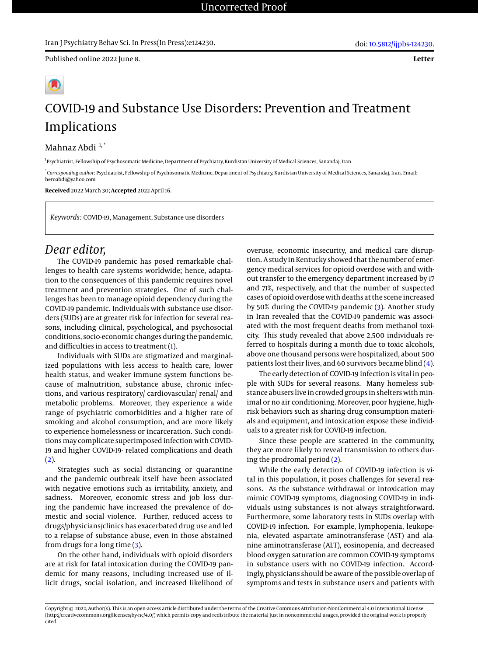**Letter**



## COVID-19 and Substance Use Disorders: Prevention and Treatment Implications

Mahnaz Abdi 1,\*

<sup>1</sup> Psychiatrist, Fellowship of Psychosomatic Medicine, Department of Psychiatry, Kurdistan University of Medical Sciences, Sanandaj, Iran

\* *Corresponding author*: Psychiatrist, Fellowship of Psychosomatic Medicine, Department of Psychiatry, Kurdistan University of Medical Sciences, Sanandaj, Iran. Email: heroabdi@yahoo.com

**Received** 2022 March 30; **Accepted** 2022 April 16.

*Keywords:* COVID-19, Management, Substance use disorders

## *Dear editor,*

The COVID-19 pandemic has posed remarkable challenges to health care systems worldwide; hence, adaptation to the consequences of this pandemic requires novel treatment and prevention strategies. One of such challenges has been to manage opioid dependency during the COVID-19 pandemic. Individuals with substance use disorders (SUDs) are at greater risk for infection for several reasons, including clinical, psychological, and psychosocial conditions, socio-economic changes during the pandemic, and difficulties in access to treatment [\(1\)](#page-1-0).

Individuals with SUDs are stigmatized and marginalized populations with less access to health care, lower health status, and weaker immune system functions because of malnutrition, substance abuse, chronic infections, and various respiratory/ cardiovascular/ renal/ and metabolic problems. Moreover, they experience a wide range of psychiatric comorbidities and a higher rate of smoking and alcohol consumption, and are more likely to experience homelessness or incarceration. Such conditionsmay complicate superimposed infection with COVID-19 and higher COVID-19- related complications and death  $(2).$  $(2).$ 

Strategies such as social distancing or quarantine and the pandemic outbreak itself have been associated with negative emotions such as irritability, anxiety, and sadness. Moreover, economic stress and job loss during the pandemic have increased the prevalence of domestic and social violence. Further, reduced access to drugs/physicians/clinics has exacerbated drug use and led to a relapse of substance abuse, even in those abstained from drugs for a long time [\(3\)](#page-1-2).

On the other hand, individuals with opioid disorders are at risk for fatal intoxication during the COVID-19 pandemic for many reasons, including increased use of illicit drugs, social isolation, and increased likelihood of

overuse, economic insecurity, and medical care disruption. A study in Kentucky showed that the number of emergency medical services for opioid overdose with and without transfer to the emergency department increased by 17 and 71%, respectively, and that the number of suspected cases of opioid overdose with deaths at the scene increased by 50% during the COVID-19 pandemic [\(3\)](#page-1-2). Another study in Iran revealed that the COVID-19 pandemic was associated with the most frequent deaths from methanol toxicity. This study revealed that above 2,500 individuals referred to hospitals during a month due to toxic alcohols, above one thousand persons were hospitalized, about 500 patients lost their lives, and 60 survivors became blind [\(4\)](#page-1-3).

The early detection of COVID-19 infection is vital in people with SUDs for several reasons. Many homeless substance abusers live in crowded groups in shelters with minimal or no air conditioning. Moreover, poor hygiene, highrisk behaviors such as sharing drug consumption materials and equipment, and intoxication expose these individuals to a greater risk for COVID-19 infection.

Since these people are scattered in the community, they are more likely to reveal transmission to others during the prodromal period [\(2\)](#page-1-1).

While the early detection of COVID-19 infection is vital in this population, it poses challenges for several reasons. As the substance withdrawal or intoxication may mimic COVID-19 symptoms, diagnosing COVID-19 in individuals using substances is not always straightforward. Furthermore, some laboratory tests in SUDs overlap with COVID-19 infection. For example, lymphopenia, leukopenia, elevated aspartate aminotransferase (AST) and alanine aminotransferase (ALT), eosinopenia, and decreased blood oxygen saturation are common COVID-19 symptoms in substance users with no COVID-19 infection. Accordingly, physicians should be aware of the possible overlap of symptoms and tests in substance users and patients with

Copyright © 2022, Author(s). This is an open-access article distributed under the terms of the Creative Commons Attribution-NonCommercial 4.0 International License (http://creativecommons.org/licenses/by-nc/4.0/) which permits copy and redistribute the material just in noncommercial usages, provided the original work is properly cited.